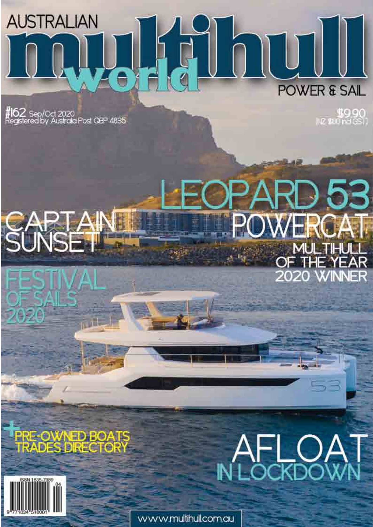## **Avena DOUI AUSTRALIAN POWER & SAIL**

**#162** Sep/Oct 2020<br>Registered by Australia Post QBP 4835

990\$<br>(ا© פרס שם שון

## रD 53 **WERCA** MULTHULL OF THE YEAR **2020 WINNER**

**PRE-OWNED BOATS<br>TRADES DRECTORY** 



**AFLOAT** 

www.multihull.com.au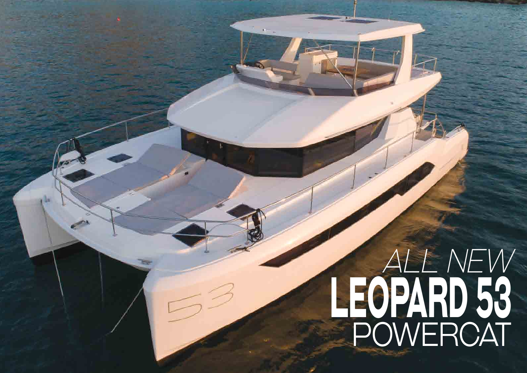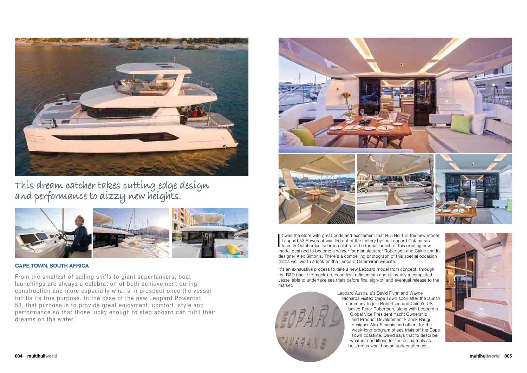

From the smallest of sailing skiffs to giant supertankers, boat launchings are always a celebration of both achievement during construction and more especially what's in prospect once the vessel fulfills its true purpose. In the case of the new Leopard Powercat 53, that purpose is to provide great enjoyment, comfort, style and performance so that those lucky enough to step aboard can fulfil their dreams on the water.



#### **Cape Town, SouTh afriCa**

It was therefore with great pride and excitement that Hull No 1 of the new more Leopard 53 Powercat was led out of the factory by the Leopard Catamaran team in October last year to celebrate the formal launch of this excit t was therefore with great pride and excitement that Hull No 1 of the new model Leopard 53 Powercat was led out of the factory by the Leopard Catamaran model destined to become a winner for manufacturer Robertson and Caine and its designer Alex Simonis. There's a compelling photograph of this special occasion that's well worth a look on the Leopard Catamaran website.



**This dream catcher takes cutting edge design and performance to dizzy new heights.**



It's an exhaustive process to take a new Leopard model from concept, through the R&D phase to mock-up, countless refinements and ultimately a completed vessel able to undertake sea trials before final sign-off and eventual release to the market.

> Leopard Australia's David Flynn and Wayne Richards visited Cape Town soon after the launch ceremony to join Robertson and Caine's US based Peter Robertson, along with Leopard's Global Vice President Yacht Ownership and Product Development Franck Bauguil, designer Alex Simonis and others for the week-long program of sea trials off the Cape Town coastline. David says that to describe weather conditions for these sea trials as boisterous would be an understatement.

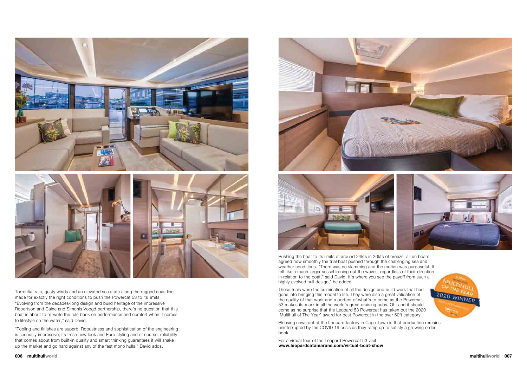

Torrential rain, gusty winds and an elevated sea state along the rugged coastline made for exactly the right conditions to push the Powercat 53 to its limits. "Evolving from the decades-long design and build heritage of the impressive Robertson and Caine and Simonis Voogd partnership, there's no question that this boat is about to re-write the rule book on performance and comfort when it comes to lifestyle on the water," said David.

"Tooling and finishes are superb. Robustness and sophistication of the engineering is seriously impressive, its fresh new look and Euro styling and of course, reliability that comes about from built-in quality and smart thinking guarantees it will shake up the market and go hard against any of the fast mono hulls," David adds.



Pushing the boat to its limits of around 24kts in 20kts of breeze, all on board agreed how smoothly the trial boat pushed through the challenging sea and weather conditions. "There was no slamming and the motion was purposeful. It felt like a much larger vessel ironing out the waves, regardless of their direction in relation to the boat," said David. It's where you see the payoff from such a highly evolved hull design," he added.

These trials were the culmination of all the design and build work that had gone into bringing this model to life. They were also a great validation of the quality of that work and a portent of what's to come as the Powercat 53 makes its mark in all the world's great cruising hubs. Oh, and it should come as no surprise that the Leopard 53 Powercat has taken out the 2020 'Multihull of The Year' award for best Powercat in the over 50ft category.

Pleasing news out of the Leopard factory in Cape Town is that production remains uninterrupted by the COVID 19 crisis as they ramp up to satisfy a growing order book.

For a virtual tour of the Leopard Powercat 53 visit: **[www.leopardcatamarans.com/virtual-boat-show](http://www.leopardcatamarans.com/virtual-boat-show)** 



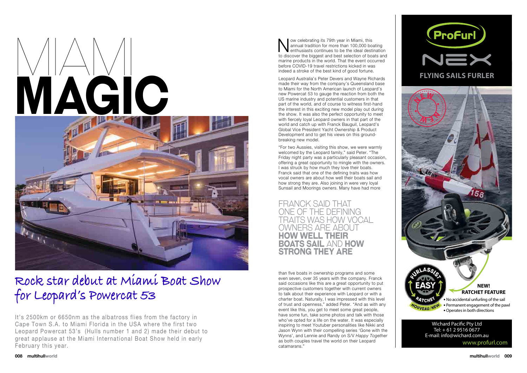

It's 2500km or 6650nm as the albatross flies from the factory in Cape Town S.A. to Miami Florida in the USA where the first two Leopard Powercat 53's (Hulls number 1 and 2) made their debut to great applause at the Miami International Boat Show held in early February this year.

### **Rock star debut at Miami Boat Show for Leopard's Powercat 53**





#### **NEW! RATCHET FEATURE**

**•** No accidental unfurling of the sail

New celebrating its 79th year in Miami, this<br>annual tradition for more than 100,000 boating<br>to discover the biggest and best selection of boats and ow celebrating its 79th year in Miami, this annual tradition for more than 100,000 boating  $\blacktriangleright$  enthusiasts continues to be the ideal destination marine products in the world. That the event occurred before COVID-19 travel restrictions kicked in was indeed a stroke of the best kind of good fortune.

- **•** Permanent engagement of the pawl
- **•** Operates in both directions

Wichard Pacific Pty Ltd Tel: + 61 2 9516 0677 E-mail: info@wichard.com.au www.profurl.com

**OUVEAU NEW** 

Leopard Australia's Peter Devers and Wayne Richards made their way from the company's Queensland base to Miami for the North American launch of Leopard's new Powercat 53 to gauge the reaction from both the US marine industry and potential customers in that part of the world, and of course to witness first-hand the interest in this exciting new model play out during the show. It was also the perfect opportunity to meet with fiercely loyal Leopard owners in that part of the world and catch up with Franck Bauguil, Leopard's Global Vice President Yacht Ownership & Product Development and to get his views on this groundbreaking new model.

"For two Aussies, visiting this show, we were warmly welcomed by the Leopard family," said Peter. "The Friday night party was a particularly pleasant occasion, offering a great opportunity to mingle with the owners. I was struck by how much they love their boats. Franck said that one of the defining traits was how vocal owners are about how well their boats sail and how strong they are. Also joining in were very loyal Sunsail and Moorings owners. Many have had more

FrAnck sAid ThAT one oF The deFining TrAiTs wAs how vocAl owners Are AbouT **how well Their boaTS Sail** And **how STrong They are**

than five boats in ownership programs and some even seven, over 35 years with the company. Franck said occasions like this are a great opportunity to put prospective customers together with current owners to talk about their experience with Leopard or with a charter boat. Naturally, I was impressed with this level of trust and openness," added Peter. "And as with any event like this, you get to meet some great people, have some fun, take some photos and talk with those who've opted for a life on the water. It was especially inspiring to meet Youtuber personalities like Nikki and Jason Wynn with their compelling series 'Gone with the Wynns', and Lennie and Randy on S/V *Happy Together*  as both couples travel the world on their Leopard catamarans."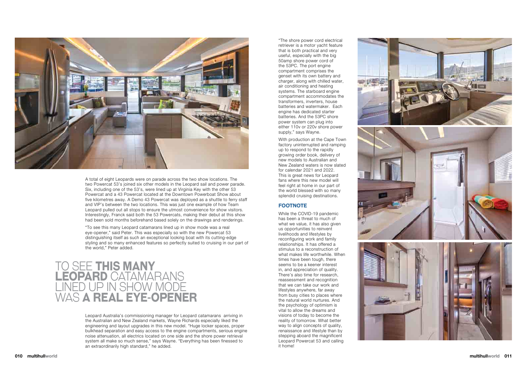

A total of eight Leopards were on parade across the two show locations. The two Powercat 53's joined six other models in the Leopard sail and power parade. Six, including one of the 53's, were lined up at Virginia Key with the other 53 Powercat and a 43 Powercat located at the Downtown Powerboat Show about five kilometres away. A Demo 43 Powercat was deployed as a shuttle to ferry staff and VIP's between the two locations. This was just one example of how Team Leopard pulled out all stops to ensure the utmost convenience for show visitors. Interestingly, Franck said both the 53 Powercats, making their debut at this show had been sold months beforehand based solely on the drawings and renderings.

"To see this many Leopard catamarans lined up in show mode was a real eye-opener," said Peter. This was especially so with the new Powercat 53 distinguishing itself as such an exceptional looking boat with its cutting-edge styling and so many enhanced features so perfectly suited to cruising in our part of the world," Peter added.

"The shore power cord electrical retriever is a motor yacht feature that is both practical and very useful, especially with the big 50amp shore power cord of the 53PC. The port engine compartment comprises the genset with its own battery and charger, along with chilled water, air conditioning and heating systems. The starboard engine compartment accommodates the transformers, inverters, house batteries and watermaker. Each engine has dedicated starter batteries. And the 53PC shore power system can plug into either 110v or 220v shore power supply," says Wayne.

With production at the Cape Town factory uninterrupted and ramping up to respond to the rapidly growing order book, delivery of new models to Australian and New Zealand waters is now slated for calendar 2021 and 2022. This is great news for Leopard fans where this new model will feel right at home in our part of the world blessed with so many splendid cruising destinations.

#### **fooTnoTe**

While the COVID-19 pandemic has been a threat to much of what we value, it has also given us opportunities to reinvent livelihoods and lifestyles by reconfiguring work and family relationships. It has offered a stimulus to a reconstruction of what makes life worthwhile. When times have been tough, there seems to be a keener interest in, and appreciation of quality. There's also time for research, reassessment and recognition that we can take our work and lifestyles anywhere, far away from busy cities to places where the natural world nurtures. And the psychology of optimism is vital to allow the dreams and visions of today to become the reality of tomorrow. What better way to align concepts of quality, renaissance and lifestyle than by stepping aboard the magnificent Leopard Powercat 53 and calling it home!









### To see **ThiS many leopard** cATAmArAns lined up in show mode wAs **a real eye-opener**

Leopard Australia's commissioning manager for Leopard catamarans arriving in the Australian and New Zealand markets, Wayne Richards especially liked the engineering and layout upgrades in this new model. "Huge locker spaces, proper bulkhead separation and easy access to the engine compartments, serious engine noise attenuation, all electrics located on one side and the shore power retrieval system all make so much sense," says Wayne. "Everything has been finessed to an extraordinarily high standard," he added.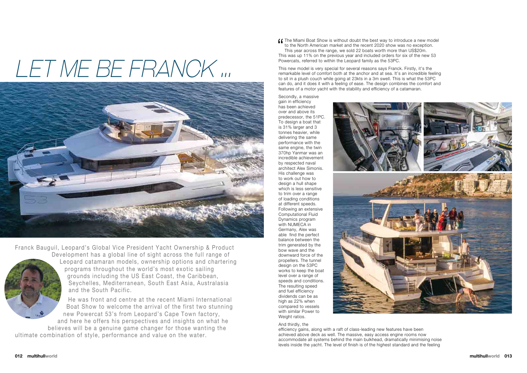**The Miami Boat Show is without doubt the best way to introduce a new model<br>to the North American market and the recent 2020 show was no exception.<br>This year across the range, we sold 22 boats worth more than US\$20m.<br>This** to the North American market and the recent 2020 show was no exception. This year across the range, we sold 22 boats worth more than US\$20m. This was up 11% on the previous year and included orders for six of the new 53 Powercats, referred to within the Leopard family as the 53PC.

This new model is very special for several reasons says Franck. Firstly, it's the remarkable level of comfort both at the anchor and at sea. It's an incredible feeling to sit in a plush couch while going at 23kts in a 3m swell. This is what the 53PC can do, and it does it with a feeling of ease. The design combines the comfort and features of a motor yacht with the stability and efficiency of a catamaran.

Secondly, a massive gain in efficiency has been achieved over and above its predecessor, the 51PC. To design a boat that is 31% larger and 3 tonnes heavier, while delivering the same performance with the same engine, the twin 370hp Yanmar was an incredible achievement by respected naval architect Alex Simonis. His challenge was to work out how to design a hull shape which is less sensitive to trim over a range of loading conditions at different speeds. Following an extensive Computational Fluid Dynamics program with NUMECA in Germany, Alex was able find the perfect balance between the trim generated by the bow wave and the downward force of the propellers. The tunnel design on the 53PC works to keep the boat level over a range of speeds and conditions. The resulting speed and fuel efficiency dividends can be as high as 22% when compared to vessels with similar Power to Weight ratios.



efficiency gains, along with a raft of class-leading new features have been achieved above deck as well. The massive, easy access engine rooms now accommodate all systems behind the main bulkhead, dramatically minimising noise levels inside the yacht. The level of finish is of the highest standard and the feeling





# *Let me be Franck ...*



Franck Bauguil, Leopard's Global Vice President Yacht Ownership & Product Development has a global line of sight across the full range of



Leopard catamaran models, ownership options and chartering programs throughout the world's most exotic sailing grounds including the US East Coast, the Caribbean, Seychelles, Mediterranean, South East Asia, Australasia and the South Pacific.

He was front and centre at the recent Miami International Boat Show to welcome the arrival of the first two stunning new Powercat 53's from Leopard's Cape Town factory, and here he offers his perspectives and insights on what he believes will be a genuine game changer for those wanting the ultimate combination of style, performance and value on the water.